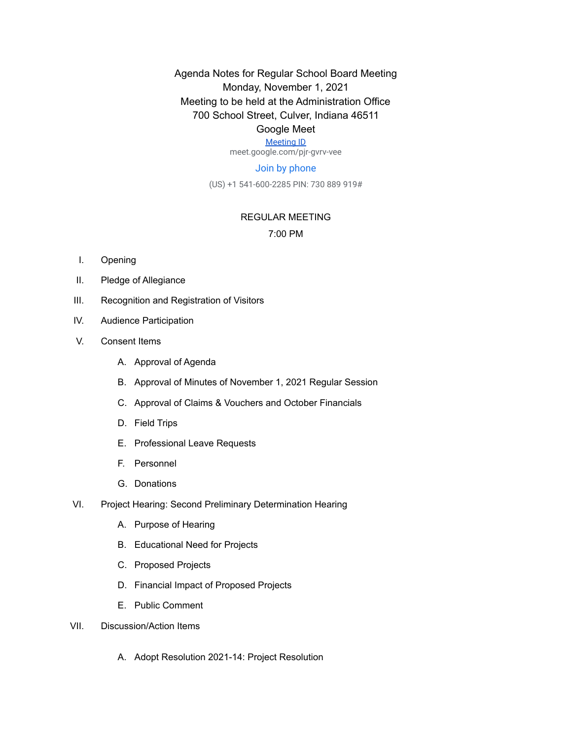Agenda Notes for Regular School Board Meeting Monday, November 1, 2021 Meeting to be held at the Administration Office 700 School Street, Culver, Indiana 46511

### Google Meet

[Meeting ID](https://meet.google.com/pjr-gvrv-vee) meet.google.com/pjr-gvrv-vee

### Join by phone

(US) +1 541-600-2285 PIN: 730 889 919#

#### REGULAR MEETING

### 7:00 PM

- I. Opening
- II. Pledge of Allegiance
- III. Recognition and Registration of Visitors
- IV. Audience Participation
- V. Consent Items
	- A. Approval of Agenda
	- B. Approval of Minutes of November 1, 2021 Regular Session
	- C. Approval of Claims & Vouchers and October Financials
	- D. Field Trips
	- E. Professional Leave Requests
	- F. Personnel
	- G. Donations
- VI. Project Hearing: Second Preliminary Determination Hearing
	- A. Purpose of Hearing
	- B. Educational Need for Projects
	- C. Proposed Projects
	- D. Financial Impact of Proposed Projects
	- E. Public Comment
- VII. Discussion/Action Items
	- A. Adopt Resolution 2021-14: Project Resolution